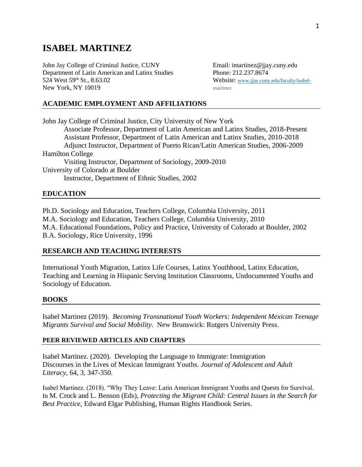# **ISABEL MARTINEZ**

John Jay College of Criminal Justice, CUNY Email: imartinez@jjay.cuny.edu Department of Latin American and Latinx Studies Phone: 212.237.8674 524 West 59<sup>th</sup> St., 8.63.02 Website: [www.jjay.cuny.edu/faculty/isabel-](http://www.jjay.cuny.edu/faculty/isabel-)New York, NY 10019 martinez

### **ACADEMIC EMPLOYMENT AND AFFILIATIONS**

John Jay College of Criminal Justice, City University of New York Associate Professor, Department of Latin American and Latinx Studies, 2018-Present Assistant Professor, Department of Latin American and Latinx Studies, 2010-2018 Adjunct Instructor, Department of Puerto Rican/Latin American Studies, 2006-2009 Hamilton College Visiting Instructor, Department of Sociology, 2009-2010 University of Colorado at Boulder Instructor, Department of Ethnic Studies, 2002

#### **EDUCATION**

Ph.D. Sociology and Education, Teachers College, Columbia University, 2011 M.A. Sociology and Education, Teachers College, Columbia University, 2010 M.A. Educational Foundations, Policy and Practice, University of Colorado at Boulder, 2002 B.A. Sociology, Rice University, 1996

#### **RESEARCH AND TEACHING INTERESTS**

International Youth Migration, Latinx Life Courses, Latinx Youthhood, Latinx Education, Teaching and Learning in Hispanic Serving Institution Classrooms, Undocumented Youths and Sociology of Education.

#### **BOOKS**

Isabel Martinez (2019). *Becoming Transnational Youth Workers: Independent Mexican Teenage Migrants Survival and Social Mobility*. New Brunswick: Rutgers University Press.

#### **PEER REVIEWED ARTICLES AND CHAPTERS**

Isabel Martínez. (2020). Developing the Language to Immigrate: Immigration Discourses in the Lives of Mexican Immigrant Youths. *Journal of Adolescent and Adult Literacy,* 64, 3, 347-350.

Isabel Martinez. (2018). "Why They Leave: Latin American Immigrant Youths and Quests for Survival. In M. Crock and L. Benson (Eds), *Protecting the Migrant Child: Central Issues in the Search for Best Practice*, Edward Elgar Publishing, Human Rights Handbook Series.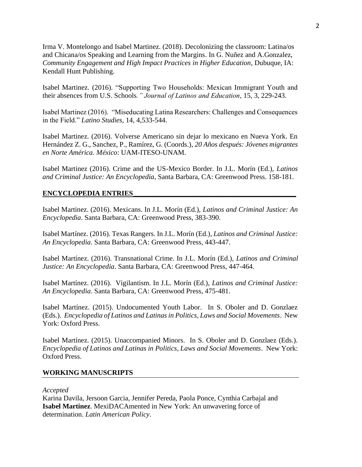Irma V. Montelongo and Isabel Martinez. (2018). Decolonizing the classroom: Latina/os and Chicana/os Speaking and Learning from the Margins. In G. Nuñez and A.Gonzalez, *Community Engagement and High Impact Practices in Higher Education*, Dubuque, IA: Kendall Hunt Publishing.

Isabel Martinez. (2016). "Supporting Two Households: Mexican Immigrant Youth and their absences from U.S. Schools*." Journal of Latinos and Education*, 15, 3, 229-243.

Isabel Martinez (2016). "Miseducating Latina Researchers: Challenges and Consequences in the Field." *Latino Studies*, 14, 4,533-544.

Isabel Martinez. (2016). Volverse Americano sin dejar lo mexicano en Nueva York. En Hernández Z. G., Sanchez, P., Ramírez, G. (Coords.), *20 Años después: Jóvenes migrantes en Norte América. México*: UAM-ITESO-UNAM.

Isabel Martinez (2016). Crime and the US-Mexico Border. In J.L. Morín (Ed.), *Latinos and Criminal Justice: An Encyclopedia*, Santa Barbara, CA: Greenwood Press. 158-181.

#### **ENCYCLOPEDIA ENTRIES\_\_\_\_\_\_\_\_\_\_\_\_\_\_\_\_\_\_\_\_\_\_\_\_\_\_\_\_\_\_\_\_\_\_\_\_\_\_\_\_\_\_\_\_\_\_**

Isabel Martinez. (2016). Mexicans. In J.L. Morín (Ed.), *Latinos and Criminal Justice: An Encyclopedia*. Santa Barbara, CA: Greenwood Press, 383-390.

Isabel Martínez. (2016). Texas Rangers. In J.L. Morín (Ed.), *Latinos and Criminal Justice: An Encyclopedia*. Santa Barbara, CA: Greenwood Press, 443-447.

Isabel Martínez. (2016). Transnational Crime. In J.L. Morín (Ed.), *Latinos and Criminal Justice: An Encyclopedia*. Santa Barbara, CA: Greenwood Press, 447-464.

Isabel Martínez. (2016). Vigilantism. In J.L. Morín (Ed.), *Latinos and Criminal Justice: An Encyclopedia*. Santa Barbara, CA: Greenwood Press, 475-481.

Isabel Martínez. (2015). Undocumented Youth Labor. In S. Oboler and D. Gonzlaez (Eds.). *Encyclopedia of Latinos and Latinas in Politics, Laws and Social Movements*. New York: Oxford Press.

Isabel Martínez. (2015). Unaccompanied Minors. In S. Oboler and D. Gonzlaez (Eds.). *Encyclopedia of Latinos and Latinas in Politics, Laws and Social Movements*. New York: Oxford Press.

#### **WORKING MANUSCRIPTS**

#### *Accepted*

Karina Davila, Jersoon Garcia, Jennifer Pereda, Paola Ponce, Cynthia Carbajal and **Isabel Martinez**. MexiDACAmented in New York: An unwavering force of determination. *Latin American Policy*.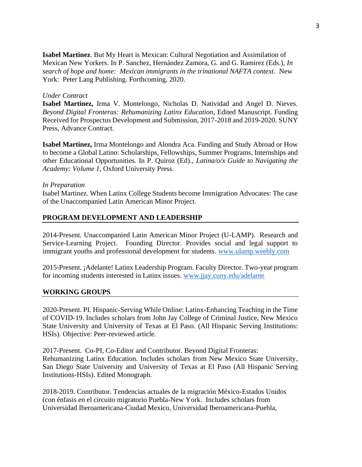**Isabel Martinez**. But My Heart is Mexican: Cultural Negotiation and Assimilation of Mexican New Yorkers. In P. Sanchez, Hernández Zamora, G. and G. Ramirez (Eds.), *In search of hope and home: Mexican immigrants in the trinational NAFTA context*. New York: Peter Lang Publishing. Forthcoming, 2020.

### *Under Contract*

**Isabel Martinez,** Irma V. Montelongo, Nicholas D. Natividad and Angel D. Nieves. *Beyond Digital Fronteras: Rehumanizing Latinx Education*, Edited Manuscript. Funding Received for Prospectus Development and Submission, 2017-2018 and 2019-2020. SUNY Press, Advance Contract.

**Isabel Martinez,** Irma Montelongo and Alondra Aca. Funding and Study Abroad or How to become a Global Latino: Scholarships, Fellowships, Summer Programs, Internships and other Educational Opportunities. In P. Quiroz (Ed)., *Latina/o/x Guide to Navigating the Academy: Volume 1*, Oxford University Press.

#### *In Preparation*

Isabel Martinez. When Latinx College Students become Immigration Advocates: The case of the Unaccompanied Latin American Minor Project.

### **PROGRAM DEVELOPMENT AND LEADERSHIP**

2014-Present. Unaccompanied Latin American Minor Project (U-LAMP). Research and Service-Learning Project. Founding Director. Provides social and legal support to immigrant youths and professional development for students. [www.ulamp.weebly.com](http://www.ulamp.weebly.com/)

2015-Present. ¡Adelante! Latinx Leadership Program. Faculty Director. Two-year program for incoming students interested in Latinx issues. [www.jjay.cuny.edu/adelante](http://www.jjay.cuny.edu/adelante)

#### **WORKING GROUPS**

2020-Present. PI. Hispanic-Serving While Online: Latinx-Enhancing Teaching in the Time of COVID-19. Includes scholars from John Jay College of Criminal Justice, New Mexico State University and University of Texas at El Paso. (All Hispanic Serving Institutions: HSIs). Objective: Peer-reviewed article.

2017-Present. Co-PI, Co-Editor and Contributor. Beyond Digital Fronteras: Rehumanizing Latinx Education. Includes scholars from New Mexico State University, San Diego State University and University of Texas at El Paso (All Hispanic Serving Institutions-HSIs). Edited Monograph.

2018-2019. Contributor. Tendencias actuales de la migración México-Estados Unidos (con énfasis en el circuito migratorio Puebla-New York. Includes scholars from Universidad Iberoamericana-Ciudad Mexico, Universidad Iberoamericana-Puebla,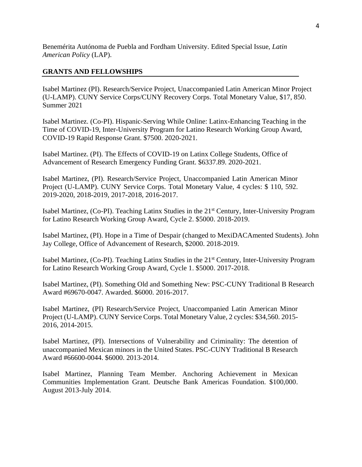Benemérita Autónoma de Puebla and Fordham University. Edited Special Issue, *Latin American Policy* (LAP).

### **GRANTS AND FELLOWSHIPS**

Isabel Martinez (PI). Research/Service Project, Unaccompanied Latin American Minor Project (U-LAMP). CUNY Service Corps/CUNY Recovery Corps. Total Monetary Value, \$17, 850. Summer 2021

Isabel Martinez. (Co-PI). Hispanic-Serving While Online: Latinx-Enhancing Teaching in the Time of COVID-19, Inter-University Program for Latino Research Working Group Award, COVID-19 Rapid Response Grant. \$7500. 2020-2021.

Isabel Martinez. (PI). The Effects of COVID-19 on Latinx College Students, Office of Advancement of Research Emergency Funding Grant. \$6337.89. 2020-2021.

Isabel Martinez, (PI). Research/Service Project, Unaccompanied Latin American Minor Project (U-LAMP). CUNY Service Corps. Total Monetary Value, 4 cycles: \$ 110, 592. 2019-2020, 2018-2019, 2017-2018, 2016-2017.

Isabel Martinez, (Co-PI). Teaching Latinx Studies in the 21st Century, Inter-University Program for Latino Research Working Group Award, Cycle 2. \$5000. 2018-2019.

Isabel Martinez, (PI). Hope in a Time of Despair (changed to MexiDACAmented Students). John Jay College, Office of Advancement of Research, \$2000. 2018-2019.

Isabel Martinez, (Co-PI). Teaching Latinx Studies in the 21st Century, Inter-University Program for Latino Research Working Group Award, Cycle 1. \$5000. 2017-2018.

Isabel Martinez, (PI). Something Old and Something New: PSC-CUNY Traditional B Research Award #69670-0047. Awarded. \$6000. 2016-2017.

Isabel Martinez, (PI) Research/Service Project, Unaccompanied Latin American Minor Project (U-LAMP). CUNY Service Corps. Total Monetary Value, 2 cycles: \$34,560. 2015- 2016, 2014-2015.

Isabel Martinez, (PI). Intersections of Vulnerability and Criminality: The detention of unaccompanied Mexican minors in the United States. PSC-CUNY Traditional B Research Award #66600-0044. \$6000. 2013-2014.

Isabel Martinez, Planning Team Member. Anchoring Achievement in Mexican Communities Implementation Grant. Deutsche Bank Americas Foundation. \$100,000. August 2013-July 2014.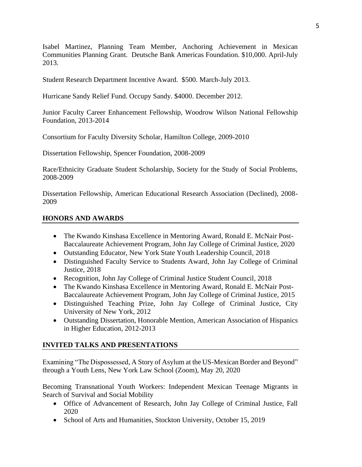Isabel Martinez, Planning Team Member, Anchoring Achievement in Mexican Communities Planning Grant. Deutsche Bank Americas Foundation. \$10,000. April-July 2013.

Student Research Department Incentive Award. \$500. March-July 2013.

Hurricane Sandy Relief Fund. Occupy Sandy. \$4000. December 2012.

Junior Faculty Career Enhancement Fellowship, Woodrow Wilson National Fellowship Foundation, 2013-2014

Consortium for Faculty Diversity Scholar, Hamilton College, 2009-2010

Dissertation Fellowship, Spencer Foundation, 2008-2009

Race/Ethnicity Graduate Student Scholarship, Society for the Study of Social Problems, 2008-2009

Dissertation Fellowship, American Educational Research Association (Declined), 2008- 2009

### **HONORS AND AWARDS**

- The Kwando Kinshasa Excellence in Mentoring Award, Ronald E. McNair Post-Baccalaureate Achievement Program, John Jay College of Criminal Justice, 2020
- Outstanding Educator, New York State Youth Leadership Council, 2018
- Distinguished Faculty Service to Students Award, John Jay College of Criminal Justice, 2018
- Recognition, John Jay College of Criminal Justice Student Council, 2018
- The Kwando Kinshasa Excellence in Mentoring Award, Ronald E. McNair Post-Baccalaureate Achievement Program, John Jay College of Criminal Justice, 2015
- Distinguished Teaching Prize, John Jay College of Criminal Justice, City University of New York, 2012
- Outstanding Dissertation, Honorable Mention, American Association of Hispanics in Higher Education, 2012-2013

# **INVITED TALKS AND PRESENTATIONS**

Examining "The Dispossessed, A Story of Asylum at the US-Mexican Border and Beyond" through a Youth Lens, New York Law School (Zoom), May 20, 2020

Becoming Transnational Youth Workers: Independent Mexican Teenage Migrants in Search of Survival and Social Mobility

- Office of Advancement of Research, John Jay College of Criminal Justice, Fall 2020
- School of Arts and Humanities, Stockton University, October 15, 2019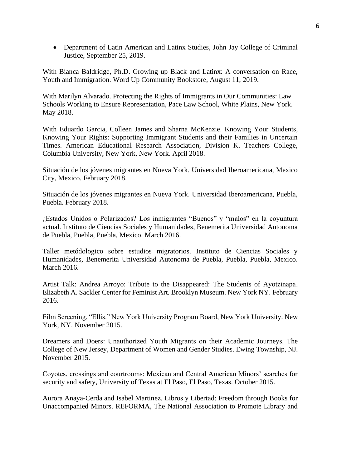• Department of Latin American and Latinx Studies, John Jay College of Criminal Justice, September 25, 2019.

With Bianca Baldridge, Ph.D. Growing up Black and Latinx: A conversation on Race, Youth and Immigration. Word Up Community Bookstore, August 11, 2019.

With Marilyn Alvarado. Protecting the Rights of Immigrants in Our Communities: Law Schools Working to Ensure Representation, Pace Law School, White Plains, New York. May 2018.

With Eduardo Garcia, Colleen James and Sharna McKenzie. Knowing Your Students, Knowing Your Rights: Supporting Immigrant Students and their Families in Uncertain Times. American Educational Research Association, Division K. Teachers College, Columbia University, New York, New York. April 2018.

Situación de los jóvenes migrantes en Nueva York. Universidad Iberoamericana, Mexico City, Mexico. February 2018.

Situación de los jóvenes migrantes en Nueva York. Universidad Iberoamericana, Puebla, Puebla. February 2018.

¿Estados Unidos o Polarizados? Los inmigrantes "Buenos" y "malos" en la coyuntura actual. Instituto de Ciencias Sociales y Humanidades, Benemerita Universidad Autonoma de Puebla, Puebla, Puebla, Mexico. March 2016.

Taller metódologico sobre estudios migratorios. Instituto de Ciencias Sociales y Humanidades, Benemerita Universidad Autonoma de Puebla, Puebla, Puebla, Mexico. March 2016.

Artist Talk: Andrea Arroyo: Tribute to the Disappeared: The Students of Ayotzinapa. Elizabeth A. Sackler Center for Feminist Art. Brooklyn Museum. New York NY. February 2016.

Film Screening, "Ellis." New York University Program Board, New York University. New York, NY. November 2015.

Dreamers and Doers: Unauthorized Youth Migrants on their Academic Journeys. The College of New Jersey, Department of Women and Gender Studies. Ewing Township, NJ. November 2015.

Coyotes, crossings and courtrooms: Mexican and Central American Minors' searches for security and safety, University of Texas at El Paso, El Paso, Texas. October 2015.

Aurora Anaya-Cerda and Isabel Martinez. Libros y Libertad: Freedom through Books for Unaccompanied Minors. REFORMA, The National Association to Promote Library and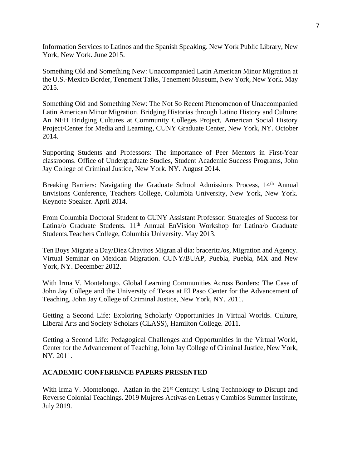Information Services to Latinos and the Spanish Speaking. New York Public Library, New York, New York. June 2015.

Something Old and Something New: Unaccompanied Latin American Minor Migration at the U.S.-Mexico Border, Tenement Talks, Tenement Museum, New York, New York. May 2015.

Something Old and Something New: The Not So Recent Phenomenon of Unaccompanied Latin American Minor Migration. Bridging Historias through Latino History and Culture: An NEH Bridging Cultures at Community Colleges Project, American Social History Project/Center for Media and Learning, CUNY Graduate Center, New York, NY. October 2014.

Supporting Students and Professors: The importance of Peer Mentors in First-Year classrooms. Office of Undergraduate Studies, Student Academic Success Programs, John Jay College of Criminal Justice, New York. NY. August 2014.

Breaking Barriers: Navigating the Graduate School Admissions Process, 14<sup>th</sup> Annual Envisions Conference, Teachers College, Columbia University, New York, New York. Keynote Speaker. April 2014.

From Columbia Doctoral Student to CUNY Assistant Professor: Strategies of Success for Latina/o Graduate Students. 11<sup>th</sup> Annual EnVision Workshop for Latina/o Graduate Students.Teachers College, Columbia University. May 2013.

Ten Boys Migrate a Day/Diez Chavitos Migran al dia: bracerita/os, Migration and Agency. Virtual Seminar on Mexican Migration. CUNY/BUAP, Puebla, Puebla, MX and New York, NY. December 2012.

With Irma V. Montelongo. Global Learning Communities Across Borders: The Case of John Jay College and the University of Texas at El Paso Center for the Advancement of Teaching, John Jay College of Criminal Justice, New York, NY. 2011.

Getting a Second Life: Exploring Scholarly Opportunities In Virtual Worlds. Culture, Liberal Arts and Society Scholars (CLASS), Hamilton College. 2011.

Getting a Second Life: Pedagogical Challenges and Opportunities in the Virtual World, Center for the Advancement of Teaching, John Jay College of Criminal Justice, New York, NY. 2011.

### **ACADEMIC CONFERENCE PAPERS PRESENTED**

With Irma V. Montelongo. Aztlan in the  $21<sup>st</sup>$  Century: Using Technology to Disrupt and Reverse Colonial Teachings. 2019 Mujeres Activas en Letras y Cambios Summer Institute, July 2019.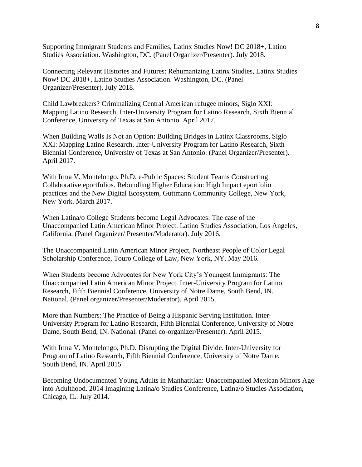Supporting Immigrant Students and Families, Latinx Studies Now! DC 2018+, Latino Studies Association. Washington, DC. (Panel Organizer/Presenter). July 2018.

Connecting Relevant Histories and Futures: Rehumanizing Latinx Studies, Latinx Studies Now! DC 2018+, Latino Studies Association. Washington, DC. (Panel Organizer/Presenter). July 2018.

Child Lawbreakers? Criminalizing Central American refugee minors, Siglo XXI: Mapping Latino Research, Inter-University Program for Latino Research, Sixth Biennial Conference, University of Texas at San Antonio. April 2017.

When Building Walls Is Not an Option: Building Bridges in Latinx Classrooms, Siglo XXI: Mapping Latino Research, Inter-University Program for Latino Research, Sixth Biennial Conference, University of Texas at San Antonio. (Panel Organizer/Presenter). April 2017.

With Irma V. Montelongo, Ph.D. e-Public Spaces: Student Teams Constructing Collaborative eportfolios. Rebundling Higher Education: High Impact eportfolio practices and the New Digital Ecosystem, Guttmann Community College, New York, New York. March 2017.

When Latina/o College Students become Legal Advocates: The case of the Unaccompanied Latin American Minor Project. Latino Studies Association, Los Angeles, California. (Panel Organizer/ Presenter/Moderator). July 2016.

The Unaccompanied Latin American Minor Project, Northeast People of Color Legal Scholarship Conference, Touro College of Law, New York, NY. May 2016.

When Students become Advocates for New York City's Youngest Immigrants: The Unaccompanied Latin American Minor Project. Inter-University Program for Latino Research, Fifth Biennial Conference, University of Notre Dame, South Bend, IN. National. (Panel organizer/Presenter/Moderator). April 2015.

More than Numbers: The Practice of Being a Hispanic Serving Institution. Inter-University Program for Latino Research, Fifth Biennial Conference, University of Notre Dame, South Bend, IN. National. (Panel co-organizer/Presenter). April 2015.

With Irma V. Montelongo, Ph.D. Disrupting the Digital Divide. Inter-University for Program of Latino Research, Fifth Biennial Conference, University of Notre Dame, South Bend, IN. April 2015

Becoming Undocumented Young Adults in Manhatitlan: Unaccompanied Mexican Minors Age into Adulthood. 2014 Imagining Latina/o Studies Conference, Latina/o Studies Association, Chicago, IL. July 2014.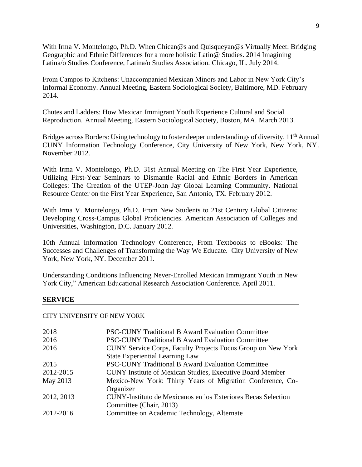With Irma V. Montelongo, Ph.D. When Chican@s and Quisqueyan@s Virtually Meet: Bridging Geographic and Ethnic Differences for a more holistic Latin@ Studies. 2014 Imagining Latina/o Studies Conference, Latina/o Studies Association. Chicago, IL. July 2014.

From Campos to Kitchens: Unaccompanied Mexican Minors and Labor in New York City's Informal Economy. Annual Meeting, Eastern Sociological Society, Baltimore, MD. February 2014.

Chutes and Ladders: How Mexican Immigrant Youth Experience Cultural and Social Reproduction. Annual Meeting, Eastern Sociological Society, Boston, MA. March 2013.

Bridges across Borders: Using technology to foster deeper understandings of diversity,  $11<sup>th</sup>$  Annual CUNY Information Technology Conference, City University of New York, New York, NY. November 2012.

With Irma V. Montelongo, Ph.D. 31st Annual Meeting on The First Year Experience, Utilizing First-Year Seminars to Dismantle Racial and Ethnic Borders in American Colleges: The Creation of the UTEP-John Jay Global Learning Community. National Resource Center on the First Year Experience, San Antonio, TX. February 2012.

With Irma V. Montelongo, Ph.D. From New Students to 21st Century Global Citizens: Developing Cross-Campus Global Proficiencies. American Association of Colleges and Universities, Washington, D.C. January 2012.

10th Annual Information Technology Conference, From Textbooks to eBooks: The Successes and Challenges of Transforming the Way We Educate. City University of New York, New York, NY. December 2011.

Understanding Conditions Influencing Never-Enrolled Mexican Immigrant Youth in New York City," American Educational Research Association Conference. April 2011.

#### **SERVICE**

#### CITY UNIVERSITY OF NEW YORK

| 2018       | <b>PSC-CUNY Traditional B Award Evaluation Committee</b>         |
|------------|------------------------------------------------------------------|
| 2016       | <b>PSC-CUNY Traditional B Award Evaluation Committee</b>         |
| 2016       | CUNY Service Corps, Faculty Projects Focus Group on New York     |
|            | <b>State Experiential Learning Law</b>                           |
| 2015       | <b>PSC-CUNY Traditional B Award Evaluation Committee</b>         |
| 2012-2015  | <b>CUNY Institute of Mexican Studies, Executive Board Member</b> |
| May 2013   | Mexico-New York: Thirty Years of Migration Conference, Co-       |
|            | Organizer                                                        |
| 2012, 2013 | CUNY-Instituto de Mexicanos en los Exteriores Becas Selection    |
|            | Committee (Chair, 2013)                                          |
| 2012-2016  | Committee on Academic Technology, Alternate                      |
|            |                                                                  |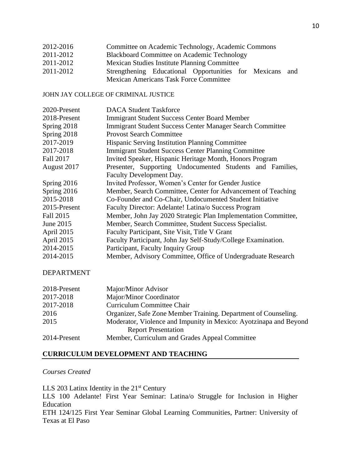| 2012-2016 | Committee on Academic Technology, Academic Commons |  |  |  |
|-----------|----------------------------------------------------|--|--|--|
|-----------|----------------------------------------------------|--|--|--|

- 2011-2012 Blackboard Committee on Academic Technology
- 2011-2012 Mexican Studies Institute Planning Committee
- 2011-2012 Strengthening Educational Opportunities for Mexicans and Mexican Americans Task Force Committee

### JOHN JAY COLLEGE OF CRIMINAL JUSTICE

| 2020-Present | <b>DACA Student Taskforce</b>                                  |  |  |
|--------------|----------------------------------------------------------------|--|--|
| 2018-Present | <b>Immigrant Student Success Center Board Member</b>           |  |  |
| Spring 2018  | Immigrant Student Success Center Manager Search Committee      |  |  |
| Spring 2018  | <b>Provost Search Committee</b>                                |  |  |
| 2017-2019    | Hispanic Serving Institution Planning Committee                |  |  |
| 2017-2018    | <b>Immigrant Student Success Center Planning Committee</b>     |  |  |
| Fall 2017    | Invited Speaker, Hispanic Heritage Month, Honors Program       |  |  |
| August 2017  | Presenter, Supporting Undocumented Students and Families,      |  |  |
|              | Faculty Development Day.                                       |  |  |
| Spring 2016  | Invited Professor, Women's Center for Gender Justice           |  |  |
| Spring 2016  | Member, Search Committee, Center for Advancement of Teaching   |  |  |
| 2015-2018    | Co-Founder and Co-Chair, Undocumented Student Initiative       |  |  |
| 2015-Present | Faculty Director: Adelante! Latina/o Success Program           |  |  |
| Fall 2015    | Member, John Jay 2020 Strategic Plan Implementation Committee, |  |  |
| June 2015    | Member, Search Committee, Student Success Specialist.          |  |  |
| April 2015   | Faculty Participant, Site Visit, Title V Grant                 |  |  |
| April 2015   | Faculty Participant, John Jay Self-Study/College Examination.  |  |  |
| 2014-2015    | Participant, Faculty Inquiry Group                             |  |  |
| 2014-2015    | Member, Advisory Committee, Office of Undergraduate Research   |  |  |

### DEPARTMENT

| 2018-Present | Major/Minor Advisor                                               |
|--------------|-------------------------------------------------------------------|
| 2017-2018    | Major/Minor Coordinator                                           |
| 2017-2018    | Curriculum Committee Chair                                        |
| 2016         | Organizer, Safe Zone Member Training. Department of Counseling.   |
| 2015         | Moderator, Violence and Impunity in Mexico: Ayotzinapa and Beyond |
|              | <b>Report Presentation</b>                                        |
| 2014-Present | Member, Curriculum and Grades Appeal Committee                    |

### **CURRICULUM DEVELOPMENT AND TEACHING**

### *Courses Created*

LLS 203 Latinx Identity in the  $21<sup>st</sup>$  Century LLS 100 Adelante! First Year Seminar: Latina/o Struggle for Inclusion in Higher Education ETH 124/125 First Year Seminar Global Learning Communities, Partner: University of Texas at El Paso